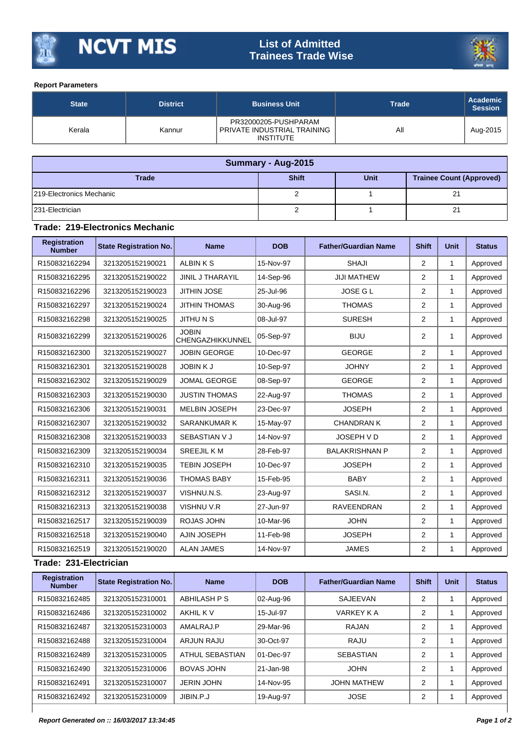

## **List of Admitted Trainees Trade Wise**



## **Report Parameters**

| <b>State</b> | <b>District</b> | <b>Business Unit</b>                                                    | <b>Trade</b> | Academic<br><b>Session</b> |
|--------------|-----------------|-------------------------------------------------------------------------|--------------|----------------------------|
| Kerala       | Kannur          | PR32000205-PUSHPARAM<br>PRIVATE INDUSTRIAL TRAINING<br><b>INSTITUTE</b> | All          | Aug-2015                   |

| Summary - Aug-2015       |              |             |                                 |  |  |  |  |
|--------------------------|--------------|-------------|---------------------------------|--|--|--|--|
| <b>Trade</b>             | <b>Shift</b> | <b>Unit</b> | <b>Trainee Count (Approved)</b> |  |  |  |  |
| 219-Electronics Mechanic |              |             | 21                              |  |  |  |  |
| 231-Electrician          |              |             | 21                              |  |  |  |  |

## **Trade: 219-Electronics Mechanic**

| <b>Registration</b><br><b>Number</b> | <b>State Registration No.</b> | <b>Name</b>                      | <b>DOB</b> | <b>Father/Guardian Name</b> | <b>Shift</b>   | <b>Unit</b> | <b>Status</b> |
|--------------------------------------|-------------------------------|----------------------------------|------------|-----------------------------|----------------|-------------|---------------|
| R150832162294                        | 3213205152190021              | <b>ALBINKS</b>                   | 15-Nov-97  | <b>SHAJI</b>                | $\overline{2}$ | 1           | Approved      |
| R150832162295                        | 3213205152190022              | <b>JINIL J THARAYIL</b>          | 14-Sep-96  | <b>JIJI MATHEW</b>          | $\overline{2}$ | 1           | Approved      |
| R150832162296                        | 3213205152190023              | <b>JITHIN JOSE</b>               | 25-Jul-96  | <b>JOSE GL</b>              | $\overline{2}$ | 1           | Approved      |
| R150832162297                        | 3213205152190024              | <b>JITHIN THOMAS</b>             | 30-Aug-96  | <b>THOMAS</b>               | $\overline{2}$ | 1           | Approved      |
| R150832162298                        | 3213205152190025              | <b>JITHUNS</b>                   | 08-Jul-97  | <b>SURESH</b>               | $\overline{2}$ | 1           | Approved      |
| R150832162299                        | 3213205152190026              | <b>JOBIN</b><br>CHENGAZHIKKUNNEL | 05-Sep-97  | <b>BIJU</b>                 | 2              | 1           | Approved      |
| R150832162300                        | 3213205152190027              | <b>JOBIN GEORGE</b>              | 10-Dec-97  | <b>GEORGE</b>               | $\overline{2}$ | 1           | Approved      |
| R150832162301                        | 3213205152190028              | <b>JOBINKJ</b>                   | 10-Sep-97  | <b>JOHNY</b>                | $\overline{2}$ | 1           | Approved      |
| R150832162302                        | 3213205152190029              | <b>JOMAL GEORGE</b>              | 08-Sep-97  | <b>GEORGE</b>               | $\overline{2}$ | 1           | Approved      |
| R150832162303                        | 3213205152190030              | <b>JUSTIN THOMAS</b>             | 22-Aug-97  | <b>THOMAS</b>               | 2              | 1           | Approved      |
| R150832162306                        | 3213205152190031              | <b>MELBIN JOSEPH</b>             | 23-Dec-97  | <b>JOSEPH</b>               | $\overline{2}$ | 1           | Approved      |
| R150832162307                        | 3213205152190032              | <b>SARANKUMAR K</b>              | 15-May-97  | <b>CHANDRAN K</b>           | $\overline{2}$ | 1           | Approved      |
| R150832162308                        | 3213205152190033              | SEBASTIAN V J                    | 14-Nov-97  | JOSEPH V D                  | $\overline{2}$ | 1           | Approved      |
| R150832162309                        | 3213205152190034              | <b>SREEJILKM</b>                 | 28-Feb-97  | <b>BALAKRISHNAN P</b>       | $\overline{2}$ | 1           | Approved      |
| R150832162310                        | 3213205152190035              | <b>TEBIN JOSEPH</b>              | 10-Dec-97  | <b>JOSEPH</b>               | $\overline{2}$ | 1           | Approved      |
| R150832162311                        | 3213205152190036              | <b>THOMAS BABY</b>               | 15-Feb-95  | <b>BABY</b>                 | $\overline{2}$ | 1           | Approved      |
| R150832162312                        | 3213205152190037              | VISHNU.N.S.                      | 23-Aug-97  | SASI.N.                     | $\overline{2}$ | 1           | Approved      |
| R150832162313                        | 3213205152190038              | <b>VISHNU V.R</b>                | 27-Jun-97  | <b>RAVEENDRAN</b>           | $\overline{2}$ | 1           | Approved      |
| R150832162517                        | 3213205152190039              | ROJAS JOHN                       | 10-Mar-96  | <b>JOHN</b>                 | $\overline{2}$ | 1           | Approved      |
| R150832162518                        | 3213205152190040              | <b>AJIN JOSEPH</b>               | 11-Feb-98  | <b>JOSEPH</b>               | 2              | 1           | Approved      |
| R150832162519                        | 3213205152190020              | <b>ALAN JAMES</b>                | 14-Nov-97  | <b>JAMES</b>                | $\overline{2}$ | 1           | Approved      |

## **Trade: 231-Electrician**

| <b>Registration</b><br><b>Number</b> | <b>State Registration No.</b> | <b>Name</b>            | <b>DOB</b> | <b>Father/Guardian Name</b> | <b>Shift</b> | Unit | <b>Status</b> |
|--------------------------------------|-------------------------------|------------------------|------------|-----------------------------|--------------|------|---------------|
| R150832162485                        | 3213205152310001              | ABHILASH P S           | 02-Aug-96  | SAJEEVAN                    | 2            |      | Approved      |
| R150832162486                        | 3213205152310002              | AKHIL K V              | 15-Jul-97  | VARKEY K A                  | 2            |      | Approved      |
| R150832162487                        | 3213205152310003              | AMALRAJ.P              | 29-Mar-96  | RAJAN                       | 2            |      | Approved      |
| R150832162488                        | 3213205152310004              | <b>ARJUN RAJU</b>      | 30-Oct-97  | RAJU                        | 2            |      | Approved      |
| R150832162489                        | 3213205152310005              | <b>ATHUL SEBASTIAN</b> | 01-Dec-97  | <b>SEBASTIAN</b>            | 2            |      | Approved      |
| R150832162490                        | 3213205152310006              | <b>BOVAS JOHN</b>      | 21-Jan-98  | <b>JOHN</b>                 | 2            |      | Approved      |
| R150832162491                        | 3213205152310007              | <b>JERIN JOHN</b>      | 14-Nov-95  | <b>JOHN MATHEW</b>          | 2            |      | Approved      |
| R150832162492                        | 3213205152310009              | JIBIN.P.J              | 19-Aug-97  | <b>JOSE</b>                 | 2            |      | Approved      |
|                                      |                               |                        |            |                             |              |      |               |